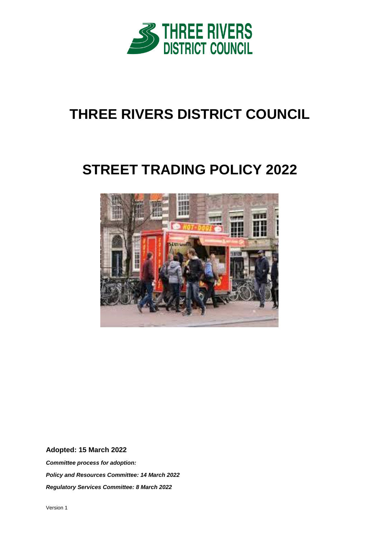

# **THREE RIVERS DISTRICT COUNCIL**

# **STREET TRADING POLICY 2022**



# **Adopted: 15 March 2022**

*Committee process for adoption: Policy and Resources Committee: 14 March 2022 Regulatory Services Committee: 8 March 2022*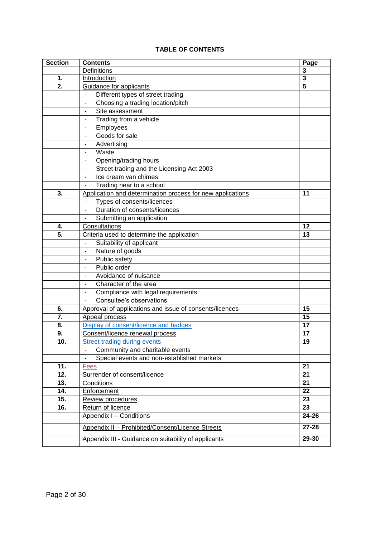# **TABLE OF CONTENTS**

| <b>Section</b> | <b>Contents</b>                                             | Page      |
|----------------|-------------------------------------------------------------|-----------|
|                | Definitions                                                 | 3         |
| 1.             | Introduction                                                | 3         |
| 2.             | <b>Guidance for applicants</b>                              | 5         |
|                | Different types of street trading                           |           |
|                | Choosing a trading location/pitch<br>$\blacksquare$         |           |
|                | Site assessment<br>ä,                                       |           |
|                | Trading from a vehicle<br>٠                                 |           |
|                | Employees<br>۰                                              |           |
|                | Goods for sale<br>$\qquad \qquad \blacksquare$              |           |
|                | Advertising<br>$\qquad \qquad \blacksquare$                 |           |
|                | Waste<br>$\overline{\phantom{a}}$                           |           |
|                | Opening/trading hours<br>$\overline{\phantom{a}}$           |           |
|                | Street trading and the Licensing Act 2003<br>$\blacksquare$ |           |
|                | Ice cream van chimes                                        |           |
|                | Trading near to a school                                    |           |
| 3.             | Application and determination process for new applications  | 11        |
|                | Types of consents/licences<br>$\blacksquare$                |           |
|                | Duration of consents/licences<br>$\overline{\phantom{a}}$   |           |
|                | Submitting an application                                   |           |
| 4.             | Consultations                                               | 12        |
| 5.             | Criteria used to determine the application                  | 13        |
|                | Suitability of applicant                                    |           |
|                | Nature of goods<br>$\overline{\phantom{a}}$                 |           |
|                | Public safety<br>$\overline{\phantom{a}}$                   |           |
|                | Public order<br>$\overline{\phantom{a}}$                    |           |
|                | Avoidance of nuisance                                       |           |
|                | Character of the area<br>$\overline{\phantom{a}}$           |           |
|                | Compliance with legal requirements                          |           |
|                | Consultee's observations                                    |           |
| 6.             | Approval of applications and issue of consents/licences     | 15        |
| 7.             | Appeal process                                              | 15        |
| 8.             | Display of consent/licence and badges                       | 17        |
| 9.             | Consent/licence renewal process                             | 17        |
| 10.            | <b>Street trading during events</b>                         | 19        |
|                | Community and charitable events                             |           |
|                | Special events and non-established markets                  |           |
| 11.            | Fees                                                        | 21        |
| 12.            | Surrender of consent/licence                                | 21        |
| 13.            | Conditions                                                  | 21        |
| 14.            | Enforcement                                                 | 22        |
| 15.            | Review procedures                                           | 23        |
| 16.            | Return of licence                                           | 23        |
|                | Appendix I - Conditions                                     | 24-26     |
|                | Appendix II - Prohibited/Consent/Licence Streets            | $27 - 28$ |
|                | Appendix III - Guidance on suitability of applicants        | 29-30     |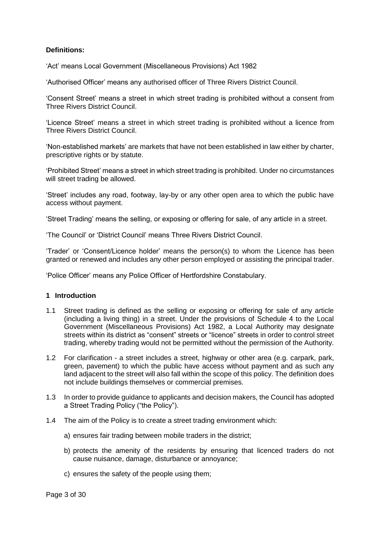# **Definitions:**

'Act' means Local Government (Miscellaneous Provisions) Act 1982

'Authorised Officer' means any authorised officer of Three Rivers District Council.

'Consent Street' means a street in which street trading is prohibited without a consent from Three Rivers District Council.

'Licence Street' means a street in which street trading is prohibited without a licence from Three Rivers District Council.

'Non-established markets' are markets that have not been established in law either by charter, prescriptive rights or by statute.

'Prohibited Street' means a street in which street trading is prohibited. Under no circumstances will street trading be allowed.

'Street' includes any road, footway, lay-by or any other open area to which the public have access without payment.

'Street Trading' means the selling, or exposing or offering for sale, of any article in a street.

'The Council' or 'District Council' means Three Rivers District Council.

'Trader' or 'Consent/Licence holder' means the person(s) to whom the Licence has been granted or renewed and includes any other person employed or assisting the principal trader.

'Police Officer' means any Police Officer of Hertfordshire Constabulary.

#### <span id="page-2-0"></span>**1 Introduction**

- 1.1 Street trading is defined as the selling or exposing or offering for sale of any article (including a living thing) in a street. Under the provisions of Schedule 4 to the Local Government (Miscellaneous Provisions) Act 1982, a Local Authority may designate streets within its district as "consent" streets or "licence" streets in order to control street trading, whereby trading would not be permitted without the permission of the Authority.
- 1.2 For clarification a street includes a street, highway or other area (e.g. carpark, park, green, pavement) to which the public have access without payment and as such any land adiacent to the street will also fall within the scope of this policy. The definition does not include buildings themselves or commercial premises.
- 1.3 In order to provide guidance to applicants and decision makers, the Council has adopted a Street Trading Policy ("the Policy").
- 1.4 The aim of the Policy is to create a street trading environment which:
	- a) ensures fair trading between mobile traders in the district;
	- b) protects the amenity of the residents by ensuring that licenced traders do not cause nuisance, damage, disturbance or annoyance;
	- c) ensures the safety of the people using them;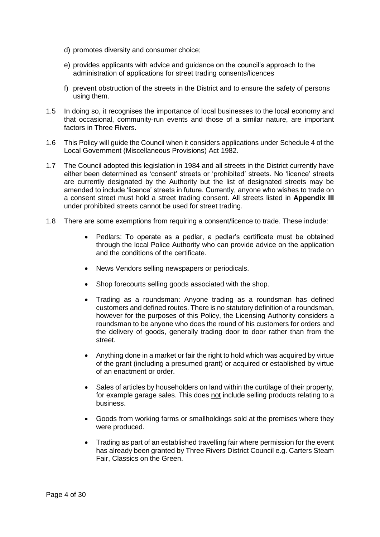- d) promotes diversity and consumer choice;
- e) provides applicants with advice and guidance on the council's approach to the administration of applications for street trading consents/licences
- f) prevent obstruction of the streets in the District and to ensure the safety of persons using them.
- 1.5 In doing so, it recognises the importance of local businesses to the local economy and that occasional, community-run events and those of a similar nature, are important factors in Three Rivers.
- 1.6 This Policy will guide the Council when it considers applications under Schedule 4 of the Local Government (Miscellaneous Provisions) Act 1982.
- 1.7 The Council adopted this legislation in 1984 and all streets in the District currently have either been determined as 'consent' streets or 'prohibited' streets. No 'licence' streets are currently designated by the Authority but the list of designated streets may be amended to include 'licence' streets in future. Currently, anyone who wishes to trade on a consent street must hold a street trading consent. All streets listed in **Appendix III** under prohibited streets cannot be used for street trading.
- 1.8 There are some exemptions from requiring a consent/licence to trade. These include:
	- Pedlars: To operate as a pedlar, a pedlar's certificate must be obtained through the local Police Authority who can provide advice on the application and the conditions of the certificate.
	- News Vendors selling newspapers or periodicals.
	- Shop forecourts selling goods associated with the shop.
	- Trading as a roundsman: Anyone trading as a roundsman has defined customers and defined routes. There is no statutory definition of a roundsman, however for the purposes of this Policy, the Licensing Authority considers a roundsman to be anyone who does the round of his customers for orders and the delivery of goods, generally trading door to door rather than from the street.
	- Anything done in a market or fair the right to hold which was acquired by virtue of the grant (including a presumed grant) or acquired or established by virtue of an enactment or order.
	- Sales of articles by householders on land within the curtilage of their property, for example garage sales. This does not include selling products relating to a business.
	- Goods from working farms or smallholdings sold at the premises where they were produced.
	- Trading as part of an established travelling fair where permission for the event has already been granted by Three Rivers District Council e.g. Carters Steam Fair, Classics on the Green.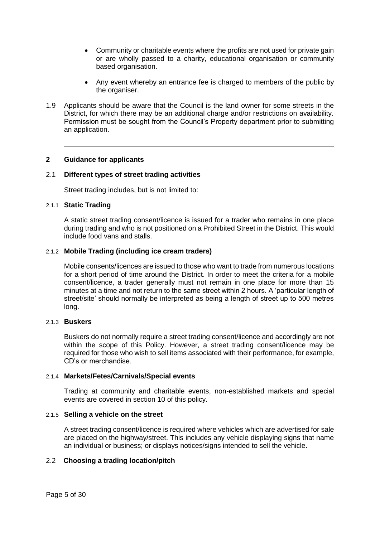- Community or charitable events where the profits are not used for private gain or are wholly passed to a charity, educational organisation or community based organisation.
- Any event whereby an entrance fee is charged to members of the public by the organiser.
- 1.9 Applicants should be aware that the Council is the land owner for some streets in the District, for which there may be an additional charge and/or restrictions on availability. Permission must be sought from the Council's Property department prior to submitting an application.

## <span id="page-4-0"></span>**2 Guidance for applicants**

## 2.1 **Different types of street trading activities**

Street trading includes, but is not limited to:

## 2.1.1 **Static Trading**

A static street trading consent/licence is issued for a trader who remains in one place during trading and who is not positioned on a Prohibited Street in the District. This would include food vans and stalls.

#### 2.1.2 **Mobile Trading (including ice cream traders)**

Mobile consents/licences are issued to those who want to trade from numerous locations for a short period of time around the District. In order to meet the criteria for a mobile consent/licence, a trader generally must not remain in one place for more than 15 minutes at a time and not return to the same street within 2 hours. A 'particular length of street/site' should normally be interpreted as being a length of street up to 500 metres long.

## 2.1.3 **Buskers**

Buskers do not normally require a street trading consent/licence and accordingly are not within the scope of this Policy. However, a street trading consent/licence may be required for those who wish to sell items associated with their performance, for example, CD's or merchandise.

#### 2.1.4 **Markets/Fetes/Carnivals/Special events**

Trading at community and charitable events, non-established markets and special events are covered in section 10 of this policy.

## 2.1.5 **Selling a vehicle on the street**

A street trading consent/licence is required where vehicles which are advertised for sale are placed on the highway/street. This includes any vehicle displaying signs that name an individual or business; or displays notices/signs intended to sell the vehicle.

## 2.2 **Choosing a trading location/pitch**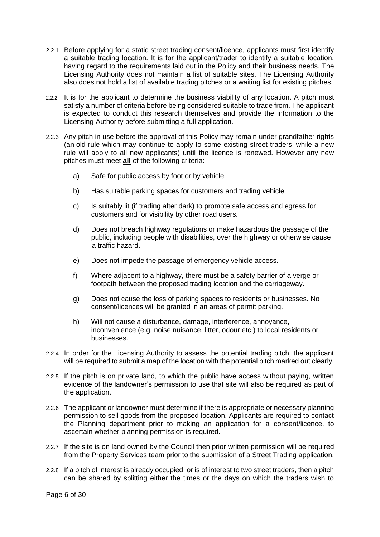- 2.2.1 Before applying for a static street trading consent/licence, applicants must first identify a suitable trading location. It is for the applicant/trader to identify a suitable location, having regard to the requirements laid out in the Policy and their business needs. The Licensing Authority does not maintain a list of suitable sites. The Licensing Authority also does not hold a list of available trading pitches or a waiting list for existing pitches.
- 2.2.2 It is for the applicant to determine the business viability of any location. A pitch must satisfy a number of criteria before being considered suitable to trade from. The applicant is expected to conduct this research themselves and provide the information to the Licensing Authority before submitting a full application.
- 2.2.3 Any pitch in use before the approval of this Policy may remain under grandfather rights (an old rule which may continue to apply to some existing street traders, while a new rule will apply to all new applicants) until the licence is renewed. However any new pitches must meet **all** of the following criteria:
	- a) Safe for public access by foot or by vehicle
	- b) Has suitable parking spaces for customers and trading vehicle
	- c) Is suitably lit (if trading after dark) to promote safe access and egress for customers and for visibility by other road users.
	- d) Does not breach highway regulations or make hazardous the passage of the public, including people with disabilities, over the highway or otherwise cause a traffic hazard.
	- e) Does not impede the passage of emergency vehicle access.
	- f) Where adjacent to a highway, there must be a safety barrier of a verge or footpath between the proposed trading location and the carriageway.
	- g) Does not cause the loss of parking spaces to residents or businesses. No consent/licences will be granted in an areas of permit parking.
	- h) Will not cause a disturbance, damage, interference, annoyance, inconvenience (e.g. noise nuisance, litter, odour etc.) to local residents or businesses.
- 2.2.4 In order for the Licensing Authority to assess the potential trading pitch, the applicant will be required to submit a map of the location with the potential pitch marked out clearly.
- 2.2.5 If the pitch is on private land, to which the public have access without paying, written evidence of the landowner's permission to use that site will also be required as part of the application.
- 2.2.6 The applicant or landowner must determine if there is appropriate or necessary planning permission to sell goods from the proposed location. Applicants are required to contact the Planning department prior to making an application for a consent/licence, to ascertain whether planning permission is required.
- 2.2.7 If the site is on land owned by the Council then prior written permission will be required from the Property Services team prior to the submission of a Street Trading application.
- 2.2.8 If a pitch of interest is already occupied, or is of interest to two street traders, then a pitch can be shared by splitting either the times or the days on which the traders wish to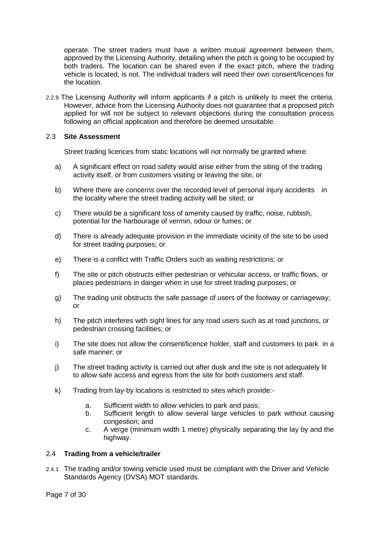operate. The street traders must have a written mutual agreement between them, approved by the Licensing Authority, detailing when the pitch is going to be occupied by both traders. The location can be shared even if the exact pitch, where the trading vehicle is located, is not. The individual traders will need their own consent/licences for the location.

2.2.9 The Licensing Authority will inform applicants if a pitch is unlikely to meet the criteria. However, advice from the Licensing Authority does not guarantee that a proposed pitch applied for will not be subject to relevant objections during the consultation process following an official application and therefore be deemed unsuitable.

## 2.3 **Site Assessment**

Street trading licences from static locations will not normally be granted where:

- a) A significant effect on road safety would arise either from the siting of the trading activity itself, or from customers visiting or leaving the site; or
- b) Where there are concerns over the recorded level of personal injury accidents in the locality where the street trading activity will be sited; or
- c) There would be a significant loss of amenity caused by traffic, noise, rubbish, potential for the harbourage of vermin, odour or fumes; or
- d) There is already adequate provision in the immediate vicinity of the site to be used for street trading purposes; or
- e) There is a conflict with Traffic Orders such as waiting restrictions; or
- f) The site or pitch obstructs either pedestrian or vehicular access, or traffic flows, or places pedestrians in danger when in use for street trading purposes; or
- g) The trading unit obstructs the safe passage of users of the footway or carriageway; or
- h) The pitch interferes with sight lines for any road users such as at road junctions, or pedestrian crossing facilities; or
- i) The site does not allow the consent/licence holder, staff and customers to park in a safe manner; or
- j) The street trading activity is carried out after dusk and the site is not adequately lit to allow safe access and egress from the site for both customers and staff.
- k) Trading from lay-by locations is restricted to sites which provide:
	- a. Sufficient width to allow vehicles to park and pass;
	- b. Sufficient length to allow several large vehicles to park without causing congestion; and
	- c. A verge (minimum width 1 metre) physically separating the lay by and the highway.

#### 2.4 **Trading from a vehicle/trailer**

2.4.1 The trading and/or towing vehicle used must be compliant with the Driver and Vehicle Standards Agency (DVSA) MOT standards.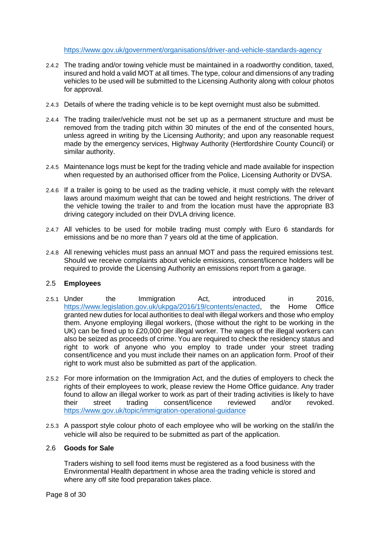<https://www.gov.uk/government/organisations/driver-and-vehicle-standards-agency>

- 2.4.2 The trading and/or towing vehicle must be maintained in a roadworthy condition, taxed, insured and hold a valid MOT at all times. The type, colour and dimensions of any trading vehicles to be used will be submitted to the Licensing Authority along with colour photos for approval.
- 2.4.3 Details of where the trading vehicle is to be kept overnight must also be submitted.
- 2.4.4 The trading trailer/vehicle must not be set up as a permanent structure and must be removed from the trading pitch within 30 minutes of the end of the consented hours, unless agreed in writing by the Licensing Authority; and upon any reasonable request made by the emergency services, Highway Authority (Hertfordshire County Council) or similar authority.
- 2.4.5 Maintenance logs must be kept for the trading vehicle and made available for inspection when requested by an authorised officer from the Police, Licensing Authority or DVSA.
- 2.4.6 If a trailer is going to be used as the trading vehicle, it must comply with the relevant laws around maximum weight that can be towed and height restrictions. The driver of the vehicle towing the trailer to and from the location must have the appropriate B3 driving category included on their DVLA driving licence.
- 2.4.7 All vehicles to be used for mobile trading must comply with Euro 6 standards for emissions and be no more than 7 years old at the time of application.
- 2.4.8 All renewing vehicles must pass an annual MOT and pass the required emissions test. Should we receive complaints about vehicle emissions, consent/licence holders will be required to provide the Licensing Authority an emissions report from a garage.

# 2.5 **Employees**

- 2.5.1 Under the Immigration Act, introduced in 2016, [https://www.legislation.gov.uk/ukpga/2016/19/contents/enacted,](https://www.legislation.gov.uk/ukpga/2016/19/contents/enacted) the Home Office granted new duties for local authorities to deal with illegal workers and those who employ them. Anyone employing illegal workers, (those without the right to be working in the UK) can be fined up to £20,000 per illegal worker. The wages of the illegal workers can also be seized as proceeds of crime. You are required to check the residency status and right to work of anyone who you employ to trade under your street trading consent/licence and you must include their names on an application form. Proof of their right to work must also be submitted as part of the application.
- 2.5.2 For more information on the Immigration Act, and the duties of employers to check the rights of their employees to work, please review the Home Office guidance. Any trader found to allow an illegal worker to work as part of their trading activities is likely to have<br>their street trading consent/licence reviewed and/or revoked street trading consent/licence reviewed and/or revoked. <https://www.gov.uk/topic/immigration-operational-guidance>
- 2.5.3 A passport style colour photo of each employee who will be working on the stall/in the vehicle will also be required to be submitted as part of the application.

## 2.6 **Goods for Sale**

Traders wishing to sell food items must be registered as a food business with the Environmental Health department in whose area the trading vehicle is stored and where any off site food preparation takes place.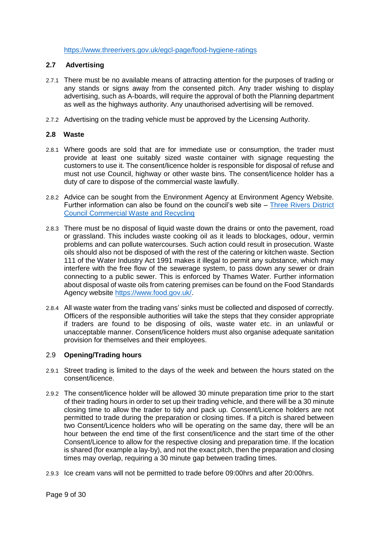<https://www.threerivers.gov.uk/egcl-page/food-hygiene-ratings>

# **2.7 Advertising**

- 2.7.1 There must be no available means of attracting attention for the purposes of trading or any stands or signs away from the consented pitch. Any trader wishing to display advertising, such as A-boards, will require the approval of both the Planning department as well as the highways authority. Any unauthorised advertising will be removed.
- 2.7.2 Advertising on the trading vehicle must be approved by the Licensing Authority.

## **2.8 Waste**

- 2.8.1 Where goods are sold that are for immediate use or consumption, the trader must provide at least one suitably sized waste container with signage requesting the customers to use it. The consent/licence holder is responsible for disposal of refuse and must not use Council, highway or other waste bins. The consent/licence holder has a duty of care to dispose of the commercial waste lawfully.
- 2.8.2 Advice can be sought from the Environment Agency at Environment Agency Website. Further information can also be found on the council's web site – [Three Rivers District](https://www.threerivers.gov.uk/egcl-page/trade-waste-and-recycling)  [Council Commercial Waste and Recycling](https://www.threerivers.gov.uk/egcl-page/trade-waste-and-recycling)
- 2.8.3 There must be no disposal of liquid waste down the drains or onto the pavement, road or grassland. This includes waste cooking oil as it leads to blockages, odour, vermin problems and can pollute watercourses. Such action could result in prosecution. Waste oils should also not be disposed of with the rest of the catering or kitchen waste. Section 111 of the Water Industry Act 1991 makes it illegal to permit any substance, which may interfere with the free flow of the sewerage system, to pass down any sewer or drain connecting to a public sewer. This is enforced by Thames Water. Further information about disposal of waste oils from catering premises can be found on the Food Standards Agency website [https://www.food.gov.uk/.](https://www.food.gov.uk/)
- 2.8.4 All waste water from the trading vans' sinks must be collected and disposed of correctly. Officers of the responsible authorities will take the steps that they consider appropriate if traders are found to be disposing of oils, waste water etc. in an unlawful or unacceptable manner. Consent/licence holders must also organise adequate sanitation provision for themselves and their employees.

# 2.9 **Opening/Trading hours**

- 2.9.1 Street trading is limited to the days of the week and between the hours stated on the consent/licence.
- 2.9.2 The consent/licence holder will be allowed 30 minute preparation time prior to the start of their trading hours in order to set up their trading vehicle, and there will be a 30 minute closing time to allow the trader to tidy and pack up. Consent/Licence holders are not permitted to trade during the preparation or closing times. If a pitch is shared between two Consent/Licence holders who will be operating on the same day, there will be an hour between the end time of the first consent/licence and the start time of the other Consent/Licence to allow for the respective closing and preparation time. If the location is shared (for example a lay-by), and not the exact pitch, then the preparation and closing times may overlap, requiring a 30 minute gap between trading times.
- 2.9.3 Ice cream vans will not be permitted to trade before 09:00hrs and after 20:00hrs.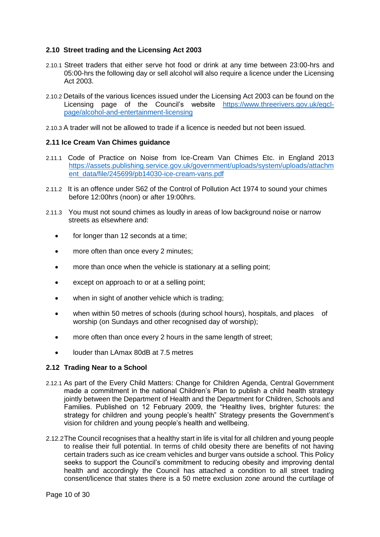# **2.10 Street trading and the Licensing Act 2003**

- 2.10.1 Street traders that either serve hot food or drink at any time between 23:00-hrs and 05:00-hrs the following day or sell alcohol will also require a licence under the Licensing Act 2003.
- 2.10.2 Details of the various licences issued under the Licensing Act 2003 can be found on the Licensing page of the Council's website [https://www.threerivers.gov.uk/egcl](https://www.threerivers.gov.uk/egcl-page/alcohol-and-entertainment-licensing)[page/alcohol-and-entertainment-licensing](https://www.threerivers.gov.uk/egcl-page/alcohol-and-entertainment-licensing)
- 2.10.3 A trader will not be allowed to trade if a licence is needed but not been issued.

## **2.11 Ice Cream Van Chimes guidance**

- 2.11.1 Code of Practice on Noise from Ice-Cream Van Chimes Etc. in England 2013 [https://assets.publishing.service.gov.uk/government/uploads/system/uploads/attachm](https://assets.publishing.service.gov.uk/government/uploads/system/uploads/attachment_data/file/245699/pb14030-ice-cream-vans.pdf) [ent\\_data/file/245699/pb14030-ice-cream-vans.pdf](https://assets.publishing.service.gov.uk/government/uploads/system/uploads/attachment_data/file/245699/pb14030-ice-cream-vans.pdf)
- 2.11.2 It is an offence under S62 of the Control of Pollution Act 1974 to sound your chimes before 12:00hrs (noon) or after 19:00hrs.
- 2.11.3 You must not sound chimes as loudly in areas of low background noise or narrow streets as elsewhere and:
	- for longer than 12 seconds at a time;
	- more often than once every 2 minutes;
	- more than once when the vehicle is stationary at a selling point;
	- except on approach to or at a selling point;
	- when in sight of another vehicle which is trading;
	- when within 50 metres of schools (during school hours), hospitals, and places of worship (on Sundays and other recognised day of worship);
	- more often than once every 2 hours in the same length of street;
	- louder than LAmax 80dB at 7.5 metres

#### **2.12 Trading Near to a School**

- 2.12.1 As part of the Every Child Matters: Change for Children Agenda, Central Government made a commitment in the national Children's Plan to publish a child health strategy jointly between the Department of Health and the Department for Children, Schools and Families. Published on 12 February 2009, the "Healthy lives, brighter futures: the strategy for children and young people's health" Strategy presents the Government's vision for children and young people's health and wellbeing.
- 2.12.2The Council recognises that a healthy start in life is vital for all children and young people to realise their full potential. In terms of child obesity there are benefits of not having certain traders such as ice cream vehicles and burger vans outside a school. This Policy seeks to support the Council's commitment to reducing obesity and improving dental health and accordingly the Council has attached a condition to all street trading consent/licence that states there is a 50 metre exclusion zone around the curtilage of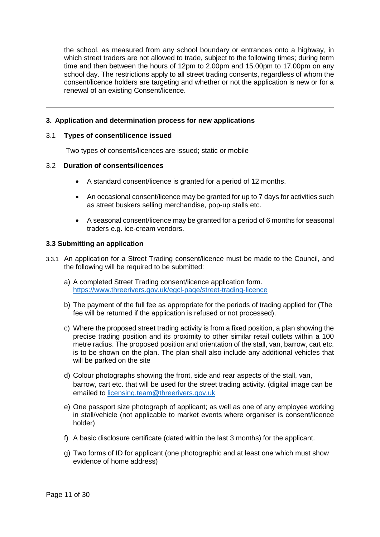the school, as measured from any school boundary or entrances onto a highway, in which street traders are not allowed to trade, subject to the following times; during term time and then between the hours of 12pm to 2.00pm and 15.00pm to 17.00pm on any school day. The restrictions apply to all street trading consents, regardless of whom the consent/licence holders are targeting and whether or not the application is new or for a renewal of an existing Consent/licence.

# <span id="page-10-0"></span>**3. Application and determination process for new applications**

## 3.1 **Types of consent/licence issued**

Two types of consents/licences are issued; static or mobile

## 3.2 **Duration of consents/licences**

- A standard consent/licence is granted for a period of 12 months.
- An occasional consent/licence may be granted for up to 7 days for activities such as street buskers selling merchandise, pop-up stalls etc.
- A seasonal consent/licence may be granted for a period of 6 months for seasonal traders e.g. ice-cream vendors.

#### **3.3 Submitting an application**

- 3.3.1 An application for a Street Trading consent/licence must be made to the Council, and the following will be required to be submitted:
	- a) A completed Street Trading consent/licence application form. <https://www.threerivers.gov.uk/egcl-page/street-trading-licence>
	- b) The payment of the full fee as appropriate for the periods of trading applied for (The fee will be returned if the application is refused or not processed).
	- c) Where the proposed street trading activity is from a fixed position, a plan showing the precise trading position and its proximity to other similar retail outlets within a 100 metre radius. The proposed position and orientation of the stall, van, barrow, cart etc. is to be shown on the plan. The plan shall also include any additional vehicles that will be parked on the site
	- d) Colour photographs showing the front, side and rear aspects of the stall, van, barrow, cart etc. that will be used for the street trading activity. (digital image can be emailed to [licensing.team@threerivers.gov.uk](mailto:licensing.team@threerivers.gov.uk)
	- e) One passport size photograph of applicant; as well as one of any employee working in stall/vehicle (not applicable to market events where organiser is consent/licence holder)
	- f) A basic disclosure certificate (dated within the last 3 months) for the applicant.
	- g) Two forms of ID for applicant (one photographic and at least one which must show evidence of home address)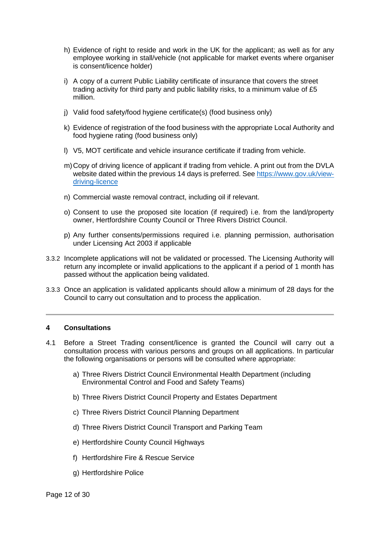- h) Evidence of right to reside and work in the UK for the applicant; as well as for any employee working in stall/vehicle (not applicable for market events where organiser is consent/licence holder)
- i) A copy of a current Public Liability certificate of insurance that covers the street trading activity for third party and public liability risks, to a minimum value of £5 million.
- j) Valid food safety/food hygiene certificate(s) (food business only)
- k) Evidence of registration of the food business with the appropriate Local Authority and food hygiene rating (food business only)
- l) V5, MOT certificate and vehicle insurance certificate if trading from vehicle.
- m)Copy of driving licence of applicant if trading from vehicle. A print out from the DVLA website dated within the previous 14 days is preferred. See [https://www.gov.uk/view](https://www.gov.uk/view-driving-licence)[driving-licence](https://www.gov.uk/view-driving-licence)
- n) Commercial waste removal contract, including oil if relevant.
- o) Consent to use the proposed site location (if required) i.e. from the land/property owner, Hertfordshire County Council or Three Rivers District Council.
- p) Any further consents/permissions required i.e. planning permission, authorisation under Licensing Act 2003 if applicable
- 3.3.2 Incomplete applications will not be validated or processed. The Licensing Authority will return any incomplete or invalid applications to the applicant if a period of 1 month has passed without the application being validated.
- 3.3.3 Once an application is validated applicants should allow a minimum of 28 days for the Council to carry out consultation and to process the application.

#### <span id="page-11-0"></span>**4 Consultations**

- 4.1 Before a Street Trading consent/licence is granted the Council will carry out a consultation process with various persons and groups on all applications. In particular the following organisations or persons will be consulted where appropriate:
	- a) Three Rivers District Council Environmental Health Department (including Environmental Control and Food and Safety Teams)
	- b) Three Rivers District Council Property and Estates Department
	- c) Three Rivers District Council Planning Department
	- d) Three Rivers District Council Transport and Parking Team
	- e) Hertfordshire County Council Highways
	- f) Hertfordshire Fire & Rescue Service
	- g) Hertfordshire Police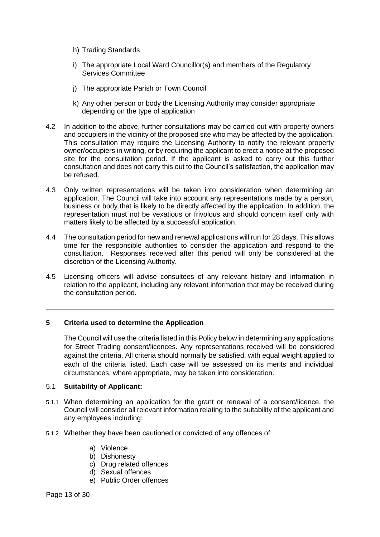- h) Trading Standards
- i) The appropriate Local Ward Councillor(s) and members of the Regulatory Services Committee
- j) The appropriate Parish or Town Council
- k) Any other person or body the Licensing Authority may consider appropriate depending on the type of application
- 4.2 In addition to the above, further consultations may be carried out with property owners and occupiers in the vicinity of the proposed site who may be affected by the application. This consultation may require the Licensing Authority to notify the relevant property owner/occupiers in writing, or by requiring the applicant to erect a notice at the proposed site for the consultation period. If the applicant is asked to carry out this further consultation and does not carry this out to the Council's satisfaction, the application may be refused.
- 4.3 Only written representations will be taken into consideration when determining an application. The Council will take into account any representations made by a person, business or body that is likely to be directly affected by the application. In addition, the representation must not be vexatious or frivolous and should concern itself only with matters likely to be affected by a successful application.
- 4.4 The consultation period for new and renewal applications will run for 28 days. This allows time for the responsible authorities to consider the application and respond to the consultation. Responses received after this period will only be considered at the discretion of the Licensing Authority.
- 4.5 Licensing officers will advise consultees of any relevant history and information in relation to the applicant, including any relevant information that may be received during the consultation period.

# <span id="page-12-0"></span>**5 Criteria used to determine the Application**

The Council will use the criteria listed in this Policy below in determining any applications for Street Trading consent/licences. Any representations received will be considered against the criteria. All criteria should normally be satisfied, with equal weight applied to each of the criteria listed. Each case will be assessed on its merits and individual circumstances, where appropriate, may be taken into consideration.

# 5.1 **Suitability of Applicant:**

- 5.1.1 When determining an application for the grant or renewal of a consent/licence, the Council will consider all relevant information relating to the suitability of the applicant and any employees including;
- 5.1.2 Whether they have been cautioned or convicted of any offences of:
	- a) Violence
	- b) Dishonesty
	- c) Drug related offences
	- d) Sexual offences
	- e) Public Order offences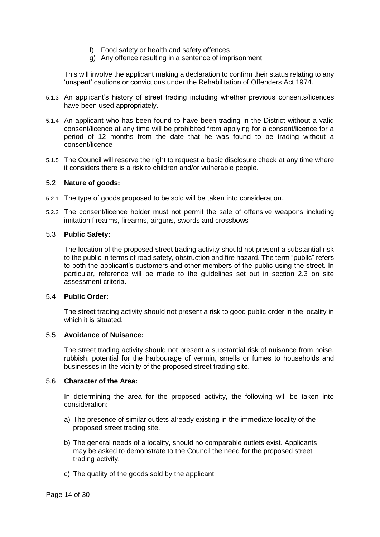- f) Food safety or health and safety offences
- g) Any offence resulting in a sentence of imprisonment

This will involve the applicant making a declaration to confirm their status relating to any 'unspent' cautions or convictions under the Rehabilitation of Offenders Act 1974.

- 5.1.3 An applicant's history of street trading including whether previous consents/licences have been used appropriately.
- 5.1.4 An applicant who has been found to have been trading in the District without a valid consent/licence at any time will be prohibited from applying for a consent/licence for a period of 12 months from the date that he was found to be trading without a consent/licence
- 5.1.5 The Council will reserve the right to request a basic disclosure check at any time where it considers there is a risk to children and/or vulnerable people.

## 5.2 **Nature of goods:**

- 5.2.1 The type of goods proposed to be sold will be taken into consideration.
- 5.2.2 The consent/licence holder must not permit the sale of offensive weapons including imitation firearms, firearms, airguns, swords and crossbows

## 5.3 **Public Safety:**

The location of the proposed street trading activity should not present a substantial risk to the public in terms of road safety, obstruction and fire hazard. The term "public" refers to both the applicant's customers and other members of the public using the street. In particular, reference will be made to the guidelines set out in section 2.3 on site assessment criteria.

#### 5.4 **Public Order:**

The street trading activity should not present a risk to good public order in the locality in which it is situated.

### 5.5 **Avoidance of Nuisance:**

The street trading activity should not present a substantial risk of nuisance from noise, rubbish, potential for the harbourage of vermin, smells or fumes to households and businesses in the vicinity of the proposed street trading site.

#### 5.6 **Character of the Area:**

In determining the area for the proposed activity, the following will be taken into consideration:

- a) The presence of similar outlets already existing in the immediate locality of the proposed street trading site.
- b) The general needs of a locality, should no comparable outlets exist. Applicants may be asked to demonstrate to the Council the need for the proposed street trading activity.
- c) The quality of the goods sold by the applicant.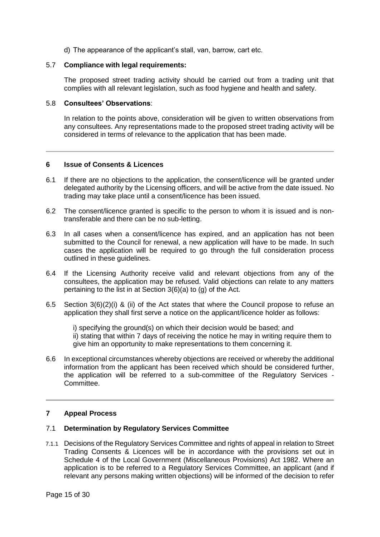d) The appearance of the applicant's stall, van, barrow, cart etc.

## 5.7 **Compliance with legal requirements:**

The proposed street trading activity should be carried out from a trading unit that complies with all relevant legislation, such as food hygiene and health and safety.

## 5.8 **Consultees' Observations**:

In relation to the points above, consideration will be given to written observations from any consultees. Any representations made to the proposed street trading activity will be considered in terms of relevance to the application that has been made.

# <span id="page-14-0"></span>**6 Issue of Consents & Licences**

- 6.1 If there are no objections to the application, the consent/licence will be granted under delegated authority by the Licensing officers, and will be active from the date issued. No trading may take place until a consent/licence has been issued.
- 6.2 The consent/licence granted is specific to the person to whom it is issued and is nontransferable and there can be no sub-letting.
- 6.3 In all cases when a consent/licence has expired, and an application has not been submitted to the Council for renewal, a new application will have to be made. In such cases the application will be required to go through the full consideration process outlined in these guidelines.
- 6.4 If the Licensing Authority receive valid and relevant objections from any of the consultees, the application may be refused. Valid objections can relate to any matters pertaining to the list in at Section 3(6)(a) to (g) of the Act.
- 6.5 Section 3(6)(2)(i) & (ii) of the Act states that where the Council propose to refuse an application they shall first serve a notice on the applicant/licence holder as follows:
	- i) specifying the ground(s) on which their decision would be based; and
	- ii) stating that within 7 days of receiving the notice he may in writing require them to give him an opportunity to make representations to them concerning it.
- 6.6 In exceptional circumstances whereby objections are received or whereby the additional information from the applicant has been received which should be considered further, the application will be referred to a sub-committee of the Regulatory Services - Committee.

# <span id="page-14-1"></span>**7 Appeal Process**

#### 7.1 **Determination by Regulatory Services Committee**

7.1.1 Decisions of the Regulatory Services Committee and rights of appeal in relation to Street Trading Consents & Licences will be in accordance with the provisions set out in Schedule 4 of the Local Government (Miscellaneous Provisions) Act 1982. Where an application is to be referred to a Regulatory Services Committee, an applicant (and if relevant any persons making written objections) will be informed of the decision to refer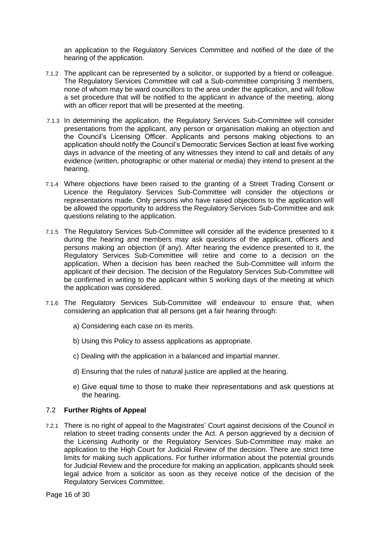an application to the Regulatory Services Committee and notified of the date of the hearing of the application.

- 7.1.2 The applicant can be represented by a solicitor, or supported by a friend or colleague. The Regulatory Services Committee will call a Sub-committee comprising 3 members, none of whom may be ward councillors to the area under the application, and will follow a set procedure that will be notified to the applicant in advance of the meeting, along with an officer report that will be presented at the meeting.
- 7.1.3 In determining the application, the Regulatory Services Sub-Committee will consider presentations from the applicant, any person or organisation making an objection and the Council's Licensing Officer. Applicants and persons making objections to an application should notify the Council's Democratic Services Section at least five working days in advance of the meeting of any witnesses they intend to call and details of any evidence (written, photographic or other material or media) they intend to present at the hearing.
- 7.1.4 Where objections have been raised to the granting of a Street Trading Consent or Licence the Regulatory Services Sub-Committee will consider the objections or representations made. Only persons who have raised objections to the application will be allowed the opportunity to address the Regulatory Services Sub-Committee and ask questions relating to the application.
- 7.1.5 The Regulatory Services Sub-Committee will consider all the evidence presented to it during the hearing and members may ask questions of the applicant, officers and persons making an objection (if any). After hearing the evidence presented to it, the Regulatory Services Sub-Committee will retire and come to a decision on the application. When a decision has been reached the Sub-Committee will inform the applicant of their decision. The decision of the Regulatory Services Sub-Committee will be confirmed in writing to the applicant within 5 working days of the meeting at which the application was considered.
- 7.1.6 The Regulatory Services Sub-Committee will endeavour to ensure that, when considering an application that all persons get a fair hearing through:
	- a) Considering each case on its merits.
	- b) Using this Policy to assess applications as appropriate.
	- c) Dealing with the application in a balanced and impartial manner.
	- d) Ensuring that the rules of natural justice are applied at the hearing.
	- e) Give equal time to those to make their representations and ask questions at the hearing.

# 7.2 **Further Rights of Appeal**

7.2.1 There is no right of appeal to the Magistrates' Court against decisions of the Council in relation to street trading consents under the Act. A person aggrieved by a decision of the Licensing Authority or the Regulatory Services Sub-Committee may make an application to the High Court for Judicial Review of the decision. There are strict time limits for making such applications. For further information about the potential grounds for Judicial Review and the procedure for making an application, applicants should seek legal advice from a solicitor as soon as they receive notice of the decision of the Regulatory Services Committee.

Page 16 of 30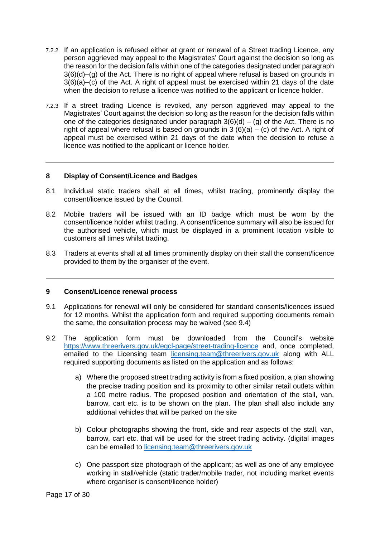- 7.2.2 If an application is refused either at grant or renewal of a Street trading Licence, any person aggrieved may appeal to the Magistrates' Court against the decision so long as the reason for the decision falls within one of the categories designated under paragraph 3(6)(d)–(g) of the Act. There is no right of appeal where refusal is based on grounds in 3(6)(a)–(c) of the Act. A right of appeal must be exercised within 21 days of the date when the decision to refuse a licence was notified to the applicant or licence holder.
- 7.2.3 If a street trading Licence is revoked, any person aggrieved may appeal to the Magistrates' Court against the decision so long as the reason for the decision falls within one of the categories designated under paragraph  $3(6)(d) - (g)$  of the Act. There is no right of appeal where refusal is based on grounds in  $3(6)(a) - (c)$  of the Act. A right of appeal must be exercised within 21 days of the date when the decision to refuse a licence was notified to the applicant or licence holder.

## <span id="page-16-0"></span>**8 Display of Consent/Licence and Badges**

- 8.1 Individual static traders shall at all times, whilst trading, prominently display the consent/licence issued by the Council.
- 8.2 Mobile traders will be issued with an ID badge which must be worn by the consent/licence holder whilst trading. A consent/licence summary will also be issued for the authorised vehicle, which must be displayed in a prominent location visible to customers all times whilst trading.
- 8.3 Traders at events shall at all times prominently display on their stall the consent/licence provided to them by the organiser of the event.

#### <span id="page-16-1"></span>**9 Consent/Licence renewal process**

- 9.1 Applications for renewal will only be considered for standard consents/licences issued for 12 months. Whilst the application form and required supporting documents remain the same, the consultation process may be waived (see 9.4)
- 9.2 The application form must be downloaded from the Council's website <https://www.threerivers.gov.uk/egcl-page/street-trading-licence> and, once completed, emailed to the Licensing team [licensing.team@threerivers.gov.uk](mailto:licensing.team@threerivers.gov.uk) along with ALL required supporting documents as listed on the application and as follows:
	- a) Where the proposed street trading activity is from a fixed position, a plan showing the precise trading position and its proximity to other similar retail outlets within a 100 metre radius. The proposed position and orientation of the stall, van, barrow, cart etc. is to be shown on the plan. The plan shall also include any additional vehicles that will be parked on the site
	- b) Colour photographs showing the front, side and rear aspects of the stall, van, barrow, cart etc. that will be used for the street trading activity. (digital images can be emailed to [licensing.team@threerivers.gov.uk](mailto:licensing.team@threerivers.gov.uk)
	- c) One passport size photograph of the applicant; as well as one of any employee working in stall/vehicle (static trader/mobile trader, not including market events where organiser is consent/licence holder)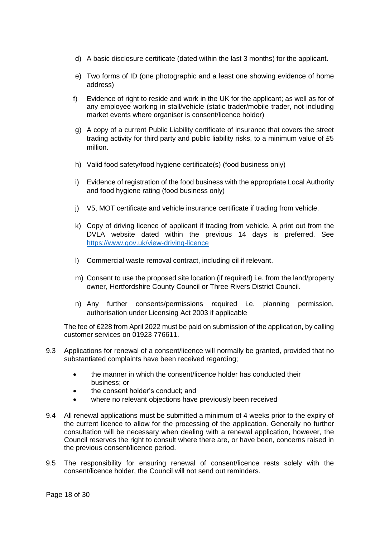- d) A basic disclosure certificate (dated within the last 3 months) for the applicant.
- e) Two forms of ID (one photographic and a least one showing evidence of home address)
- f) Evidence of right to reside and work in the UK for the applicant; as well as for of any employee working in stall/vehicle (static trader/mobile trader, not including market events where organiser is consent/licence holder)
- g) A copy of a current Public Liability certificate of insurance that covers the street trading activity for third party and public liability risks, to a minimum value of £5 million.
- h) Valid food safety/food hygiene certificate(s) (food business only)
- i) Evidence of registration of the food business with the appropriate Local Authority and food hygiene rating (food business only)
- j) V5, MOT certificate and vehicle insurance certificate if trading from vehicle.
- k) Copy of driving licence of applicant if trading from vehicle. A print out from the DVLA website dated within the previous 14 days is preferred. See <https://www.gov.uk/view-driving-licence>
- l) Commercial waste removal contract, including oil if relevant.
- m) Consent to use the proposed site location (if required) i.e. from the land/property owner, Hertfordshire County Council or Three Rivers District Council.
- n) Any further consents/permissions required i.e. planning permission, authorisation under Licensing Act 2003 if applicable

The fee of £228 from April 2022 must be paid on submission of the application, by calling customer services on 01923 776611.

- 9.3 Applications for renewal of a consent/licence will normally be granted, provided that no substantiated complaints have been received regarding;
	- the manner in which the consent/licence holder has conducted their business; or
	- the consent holder's conduct; and
	- where no relevant objections have previously been received
- 9.4 All renewal applications must be submitted a minimum of 4 weeks prior to the expiry of the current licence to allow for the processing of the application. Generally no further consultation will be necessary when dealing with a renewal application, however, the Council reserves the right to consult where there are, or have been, concerns raised in the previous consent/licence period.
- 9.5 The responsibility for ensuring renewal of consent/licence rests solely with the consent/licence holder, the Council will not send out reminders.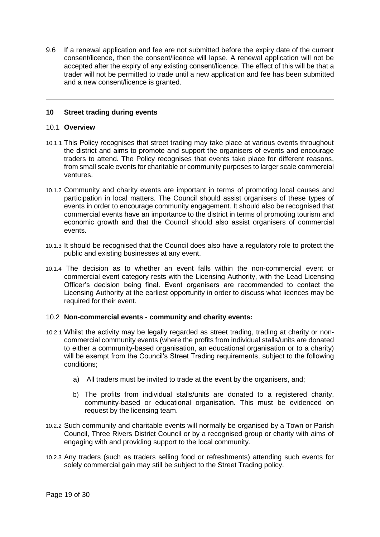9.6 If a renewal application and fee are not submitted before the expiry date of the current consent/licence, then the consent/licence will lapse. A renewal application will not be accepted after the expiry of any existing consent/licence. The effect of this will be that a trader will not be permitted to trade until a new application and fee has been submitted and a new consent/licence is granted.

# <span id="page-18-0"></span>**10 Street trading during events**

#### 10.1 **Overview**

- 10.1.1 This Policy recognises that street trading may take place at various events throughout the district and aims to promote and support the organisers of events and encourage traders to attend. The Policy recognises that events take place for different reasons, from small scale events for charitable or community purposes to larger scale commercial ventures.
- 10.1.2 Community and charity events are important in terms of promoting local causes and participation in local matters. The Council should assist organisers of these types of events in order to encourage community engagement. It should also be recognised that commercial events have an importance to the district in terms of promoting tourism and economic growth and that the Council should also assist organisers of commercial events.
- 10.1.3 It should be recognised that the Council does also have a regulatory role to protect the public and existing businesses at any event.
- 10.1.4 The decision as to whether an event falls within the non-commercial event or commercial event category rests with the Licensing Authority, with the Lead Licensing Officer's decision being final. Event organisers are recommended to contact the Licensing Authority at the earliest opportunity in order to discuss what licences may be required for their event.

#### 10.2 **Non-commercial events - community and charity events:**

- 10.2.1 Whilst the activity may be legally regarded as street trading, trading at charity or noncommercial community events (where the profits from individual stalls/units are donated to either a community-based organisation, an educational organisation or to a charity) will be exempt from the Council's Street Trading requirements, subject to the following conditions;
	- a) All traders must be invited to trade at the event by the organisers, and;
	- b) The profits from individual stalls/units are donated to a registered charity, community-based or educational organisation. This must be evidenced on request by the licensing team.
- 10.2.2 Such community and charitable events will normally be organised by a Town or Parish Council, Three Rivers District Council or by a recognised group or charity with aims of engaging with and providing support to the local community.
- 10.2.3 Any traders (such as traders selling food or refreshments) attending such events for solely commercial gain may still be subject to the Street Trading policy.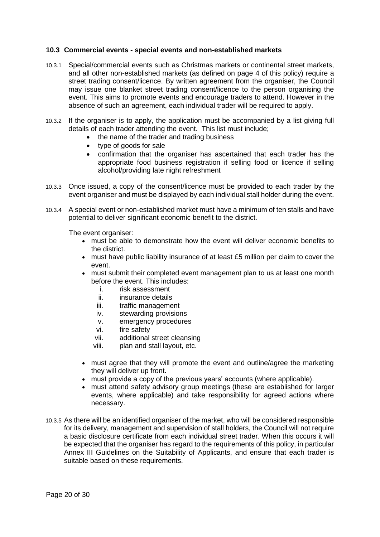## **10.3 Commercial events - special events and non-established markets**

- 10.3.1 Special/commercial events such as Christmas markets or continental street markets, and all other non-established markets (as defined on page 4 of this policy) require a street trading consent/licence. By written agreement from the organiser, the Council may issue one blanket street trading consent/licence to the person organising the event. This aims to promote events and encourage traders to attend. However in the absence of such an agreement, each individual trader will be required to apply.
- 10.3.2 If the organiser is to apply, the application must be accompanied by a list giving full details of each trader attending the event. This list must include;
	- the name of the trader and trading business
	- type of goods for sale
	- confirmation that the organiser has ascertained that each trader has the appropriate food business registration if selling food or licence if selling alcohol/providing late night refreshment
- 10.3.3 Once issued, a copy of the consent/licence must be provided to each trader by the event organiser and must be displayed by each individual stall holder during the event.
- 10.3.4 A special event or non-established market must have a minimum of ten stalls and have potential to deliver significant economic benefit to the district.

The event organiser:

- must be able to demonstrate how the event will deliver economic benefits to the district.
- must have public liability insurance of at least £5 million per claim to cover the event.
- must submit their completed event management plan to us at least one month before the event. This includes:
	- i. risk assessment
	- ii. insurance details
	- iii. traffic management
	- iv. stewarding provisions
	- v. emergency procedures
	- vi. fire safety
	- vii. additional street cleansing
	- viii. plan and stall layout, etc.
- must agree that they will promote the event and outline/agree the marketing they will deliver up front.
- must provide a copy of the previous years' accounts (where applicable).
- must attend safety advisory group meetings (these are established for larger events, where applicable) and take responsibility for agreed actions where necessary.
- 10.3.5 As there will be an identified organiser of the market, who will be considered responsible for its delivery, management and supervision of stall holders, the Council will not require a basic disclosure certificate from each individual street trader. When this occurs it will be expected that the organiser has regard to the requirements of this policy, in particular Annex III Guidelines on the Suitability of Applicants, and ensure that each trader is suitable based on these requirements.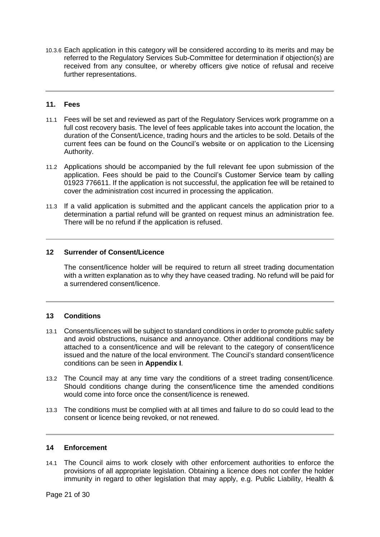10.3.6 Each application in this category will be considered according to its merits and may be referred to the Regulatory Services Sub-Committee for determination if objection(s) are received from any consultee, or whereby officers give notice of refusal and receive further representations.

# <span id="page-20-0"></span>**11. Fees**

- 11.1 Fees will be set and reviewed as part of the Regulatory Services work programme on a full cost recovery basis. The level of fees applicable takes into account the location, the duration of the Consent/Licence, trading hours and the articles to be sold. Details of the current fees can be found on the Council's website or on application to the Licensing Authority.
- 11.2 Applications should be accompanied by the full relevant fee upon submission of the application. Fees should be paid to the Council's Customer Service team by calling 01923 776611. If the application is not successful, the application fee will be retained to cover the administration cost incurred in processing the application.
- 11.3 If a valid application is submitted and the applicant cancels the application prior to a determination a partial refund will be granted on request minus an administration fee. There will be no refund if the application is refused.

## <span id="page-20-1"></span>**12 Surrender of Consent/Licence**

The consent/licence holder will be required to return all street trading documentation with a written explanation as to why they have ceased trading. No refund will be paid for a surrendered consent/licence.

#### <span id="page-20-2"></span>**13 Conditions**

- 13.1 Consents/licences will be subject to standard conditions in order to promote public safety and avoid obstructions, nuisance and annoyance. Other additional conditions may be attached to a consent/licence and will be relevant to the category of consent/licence issued and the nature of the local environment. The Council's standard consent/licence conditions can be seen in **Appendix I**.
- 13.2 The Council may at any time vary the conditions of a street trading consent/licence. Should conditions change during the consent/licence time the amended conditions would come into force once the consent/licence is renewed.
- 13.3 The conditions must be complied with at all times and failure to do so could lead to the consent or licence being revoked, or not renewed.

#### <span id="page-20-3"></span>**14 Enforcement**

14.1 The Council aims to work closely with other enforcement authorities to enforce the provisions of all appropriate legislation. Obtaining a licence does not confer the holder immunity in regard to other legislation that may apply, e.g. Public Liability, Health &

Page 21 of 30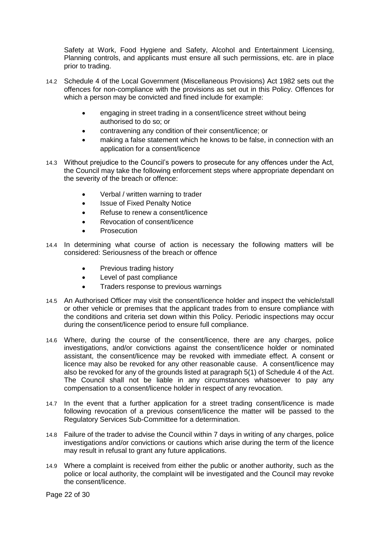Safety at Work, Food Hygiene and Safety, Alcohol and Entertainment Licensing, Planning controls, and applicants must ensure all such permissions, etc. are in place prior to trading.

- 14.2 Schedule 4 of the Local Government (Miscellaneous Provisions) Act 1982 sets out the offences for non-compliance with the provisions as set out in this Policy. Offences for which a person may be convicted and fined include for example:
	- engaging in street trading in a consent/licence street without being authorised to do so; or
	- contravening any condition of their consent/licence; or
	- making a false statement which he knows to be false, in connection with an application for a consent/licence
- 14.3 Without prejudice to the Council's powers to prosecute for any offences under the Act, the Council may take the following enforcement steps where appropriate dependant on the severity of the breach or offence:
	- Verbal / written warning to trader
	- Issue of Fixed Penalty Notice
	- Refuse to renew a consent/licence
	- Revocation of consent/licence
	- **Prosecution**
- 14.4 In determining what course of action is necessary the following matters will be considered: Seriousness of the breach or offence
	- Previous trading history
	- Level of past compliance
	- Traders response to previous warnings
- 14.5 An Authorised Officer may visit the consent/licence holder and inspect the vehicle/stall or other vehicle or premises that the applicant trades from to ensure compliance with the conditions and criteria set down within this Policy. Periodic inspections may occur during the consent/licence period to ensure full compliance.
- 14.6 Where, during the course of the consent/licence, there are any charges, police investigations, and/or convictions against the consent/licence holder or nominated assistant, the consent/licence may be revoked with immediate effect. A consent or licence may also be revoked for any other reasonable cause. A consent/licence may also be revoked for any of the grounds listed at paragraph 5(1) of Schedule 4 of the Act. The Council shall not be liable in any circumstances whatsoever to pay any compensation to a consent/licence holder in respect of any revocation.
- 14.7 In the event that a further application for a street trading consent/licence is made following revocation of a previous consent/licence the matter will be passed to the Regulatory Services Sub-Committee for a determination.
- 14.8 Failure of the trader to advise the Council within 7 days in writing of any charges, police investigations and/or convictions or cautions which arise during the term of the licence may result in refusal to grant any future applications.
- 14.9 Where a complaint is received from either the public or another authority, such as the police or local authority, the complaint will be investigated and the Council may revoke the consent/licence.

Page 22 of 30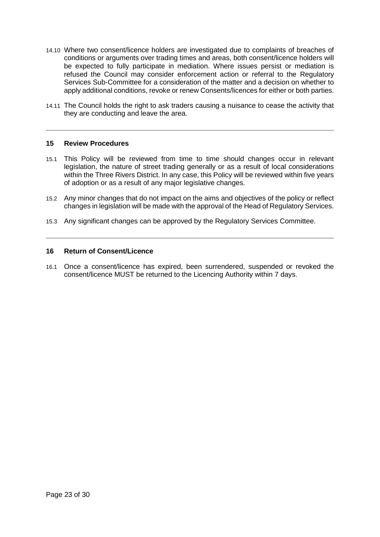- 14.10 Where two consent/licence holders are investigated due to complaints of breaches of conditions or arguments over trading times and areas, both consent/licence holders will be expected to fully participate in mediation. Where issues persist or mediation is refused the Council may consider enforcement action or referral to the Regulatory Services Sub-Committee for a consideration of the matter and a decision on whether to apply additional conditions, revoke or renew Consents/licences for either or both parties.
- 14.11 The Council holds the right to ask traders causing a nuisance to cease the activity that they are conducting and leave the area.

## <span id="page-22-0"></span>**15 Review Procedures**

- 15.1 This Policy will be reviewed from time to time should changes occur in relevant legislation, the nature of street trading generally or as a result of local considerations within the Three Rivers District. In any case, this Policy will be reviewed within five years of adoption or as a result of any major legislative changes.
- 15.2 Any minor changes that do not impact on the aims and objectives of the policy or reflect changes in legislation will be made with the approval of the Head of Regulatory Services.
- 15.3 Any significant changes can be approved by the Regulatory Services Committee.

## <span id="page-22-1"></span>**16 Return of Consent/Licence**

16.1 Once a consent/licence has expired, been surrendered, suspended or revoked the consent/licence MUST be returned to the Licencing Authority within 7 days.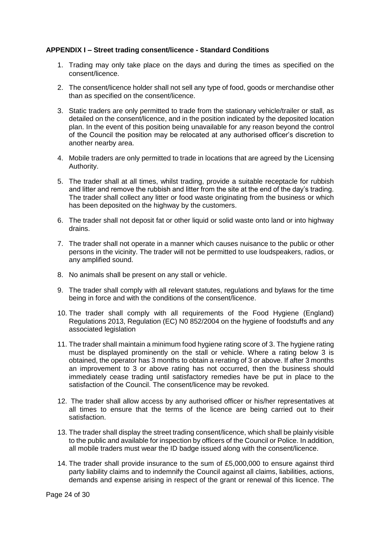## <span id="page-23-0"></span>**APPENDIX I – Street trading consent/licence - Standard Conditions**

- 1. Trading may only take place on the days and during the times as specified on the consent/licence.
- 2. The consent/licence holder shall not sell any type of food, goods or merchandise other than as specified on the consent/licence.
- 3. Static traders are only permitted to trade from the stationary vehicle/trailer or stall, as detailed on the consent/licence, and in the position indicated by the deposited location plan. In the event of this position being unavailable for any reason beyond the control of the Council the position may be relocated at any authorised officer's discretion to another nearby area.
- 4. Mobile traders are only permitted to trade in locations that are agreed by the Licensing Authority.
- 5. The trader shall at all times, whilst trading, provide a suitable receptacle for rubbish and litter and remove the rubbish and litter from the site at the end of the day's trading. The trader shall collect any litter or food waste originating from the business or which has been deposited on the highway by the customers.
- 6. The trader shall not deposit fat or other liquid or solid waste onto land or into highway drains.
- 7. The trader shall not operate in a manner which causes nuisance to the public or other persons in the vicinity. The trader will not be permitted to use loudspeakers, radios, or any amplified sound.
- 8. No animals shall be present on any stall or vehicle.
- 9. The trader shall comply with all relevant statutes, regulations and bylaws for the time being in force and with the conditions of the consent/licence.
- 10. The trader shall comply with all requirements of the Food Hygiene (England) Regulations 2013, Regulation (EC) N0 852/2004 on the hygiene of foodstuffs and any associated legislation
- 11. The trader shall maintain a minimum food hygiene rating score of 3. The hygiene rating must be displayed prominently on the stall or vehicle. Where a rating below 3 is obtained, the operator has 3 months to obtain a rerating of 3 or above. If after 3 months an improvement to 3 or above rating has not occurred, then the business should immediately cease trading until satisfactory remedies have be put in place to the satisfaction of the Council. The consent/licence may be revoked.
- 12. The trader shall allow access by any authorised officer or his/her representatives at all times to ensure that the terms of the licence are being carried out to their satisfaction.
- 13. The trader shall display the street trading consent/licence, which shall be plainly visible to the public and available for inspection by officers of the Council or Police. In addition, all mobile traders must wear the ID badge issued along with the consent/licence.
- 14. The trader shall provide insurance to the sum of £5,000,000 to ensure against third party liability claims and to indemnify the Council against all claims, liabilities, actions, demands and expense arising in respect of the grant or renewal of this licence. The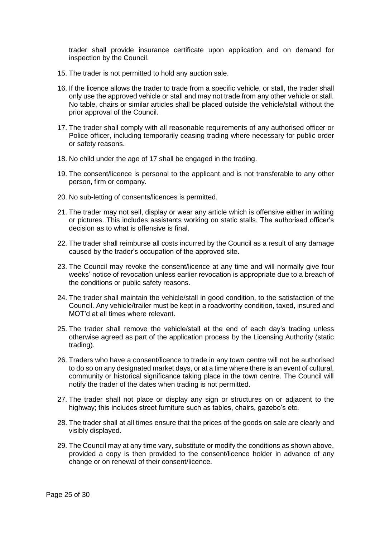trader shall provide insurance certificate upon application and on demand for inspection by the Council.

- 15. The trader is not permitted to hold any auction sale.
- 16. If the licence allows the trader to trade from a specific vehicle, or stall, the trader shall only use the approved vehicle or stall and may not trade from any other vehicle or stall. No table, chairs or similar articles shall be placed outside the vehicle/stall without the prior approval of the Council.
- 17. The trader shall comply with all reasonable requirements of any authorised officer or Police officer, including temporarily ceasing trading where necessary for public order or safety reasons.
- 18. No child under the age of 17 shall be engaged in the trading.
- 19. The consent/licence is personal to the applicant and is not transferable to any other person, firm or company.
- 20. No sub-letting of consents/licences is permitted.
- 21. The trader may not sell, display or wear any article which is offensive either in writing or pictures. This includes assistants working on static stalls. The authorised officer's decision as to what is offensive is final.
- 22. The trader shall reimburse all costs incurred by the Council as a result of any damage caused by the trader's occupation of the approved site.
- 23. The Council may revoke the consent/licence at any time and will normally give four weeks' notice of revocation unless earlier revocation is appropriate due to a breach of the conditions or public safety reasons.
- 24. The trader shall maintain the vehicle/stall in good condition, to the satisfaction of the Council. Any vehicle/trailer must be kept in a roadworthy condition, taxed, insured and MOT'd at all times where relevant.
- 25. The trader shall remove the vehicle/stall at the end of each day's trading unless otherwise agreed as part of the application process by the Licensing Authority (static trading).
- 26. Traders who have a consent/licence to trade in any town centre will not be authorised to do so on any designated market days, or at a time where there is an event of cultural, community or historical significance taking place in the town centre. The Council will notify the trader of the dates when trading is not permitted.
- 27. The trader shall not place or display any sign or structures on or adjacent to the highway; this includes street furniture such as tables, chairs, gazebo's etc.
- 28. The trader shall at all times ensure that the prices of the goods on sale are clearly and visibly displayed.
- 29. The Council may at any time vary, substitute or modify the conditions as shown above, provided a copy is then provided to the consent/licence holder in advance of any change or on renewal of their consent/licence.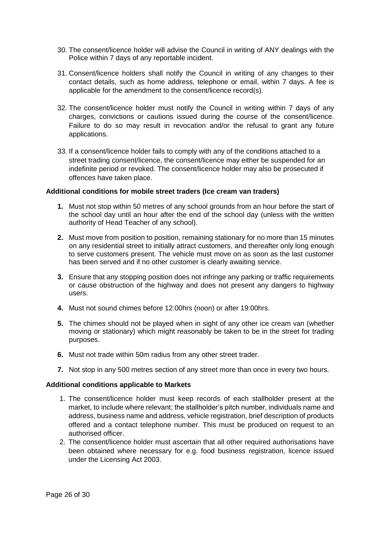- 30. The consent/licence holder will advise the Council in writing of ANY dealings with the Police within 7 days of any reportable incident.
- 31. Consent/licence holders shall notify the Council in writing of any changes to their contact details, such as home address, telephone or email, within 7 days. A fee is applicable for the amendment to the consent/licence record(s).
- 32. The consent/licence holder must notify the Council in writing within 7 days of any charges, convictions or cautions issued during the course of the consent/licence. Failure to do so may result in revocation and/or the refusal to grant any future applications.
- 33. If a consent/licence holder fails to comply with any of the conditions attached to a street trading consent/licence, the consent/licence may either be suspended for an indefinite period or revoked. The consent/licence holder may also be prosecuted if offences have taken place.

## **Additional conditions for mobile street traders (Ice cream van traders)**

- **1.** Must not stop within 50 metres of any school grounds from an hour before the start of the school day until an hour after the end of the school day (unless with the written authority of Head Teacher of any school).
- **2.** Must move from position to position, remaining stationary for no more than 15 minutes on any residential street to initially attract customers, and thereafter only long enough to serve customers present. The vehicle must move on as soon as the last customer has been served and if no other customer is clearly awaiting service.
- **3.** Ensure that any stopping position does not infringe any parking or traffic requirements or cause obstruction of the highway and does not present any dangers to highway users.
- **4.** Must not sound chimes before 12:00hrs (noon) or after 19:00hrs.
- **5.** The chimes should not be played when in sight of any other ice cream van (whether moving or stationary) which might reasonably be taken to be in the street for trading purposes.
- **6.** Must not trade within 50m radius from any other street trader.
- **7.** Not stop in any 500 metres section of any street more than once in every two hours.

#### **Additional conditions applicable to Markets**

- 1. The consent/licence holder must keep records of each stallholder present at the market, to include where relevant; the stallholder's pitch number, individuals name and address, business name and address, vehicle registration, brief description of products offered and a contact telephone number. This must be produced on request to an authorised officer.
- 2. The consent/licence holder must ascertain that all other required authorisations have been obtained where necessary for e.g. food business registration, licence issued under the Licensing Act 2003.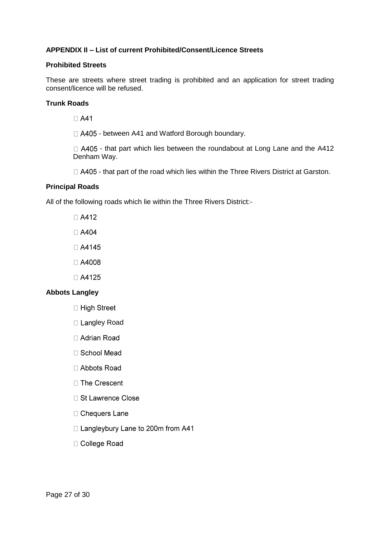# <span id="page-26-0"></span>**APPENDIX II – List of current Prohibited/Consent/Licence Streets**

## **Prohibited Streets**

These are streets where street trading is prohibited and an application for street trading consent/licence will be refused.

## **Trunk Roads**

 $\Box$  A41

 $\Box$  A405 - between A41 and Watford Borough boundary.

 $\Box$  A405 - that part which lies between the roundabout at Long Lane and the A412 Denham Way.

 $\Box$  A405 - that part of the road which lies within the Three Rivers District at Garston.

# **Principal Roads**

All of the following roads which lie within the Three Rivers District:-

- $\Box$  A412
- □ A404
- □ A4145
- □ A4008
- □ A4125

# **Abbots Langley**

- □ High Street
- □ Langley Road
- □ Adrian Road
- □ School Mead
- □ Abbots Road
- □ The Crescent
- □ St Lawrence Close
- □ Chequers Lane
- □ Langleybury Lane to 200m from A41
- □ College Road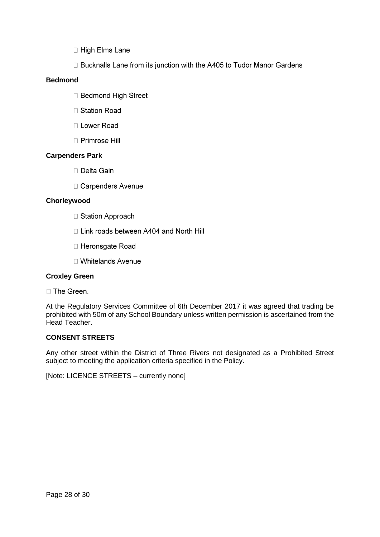- □ High Elms Lane
- □ Bucknalls Lane from its junction with the A405 to Tudor Manor Gardens

# **Bedmond**

- □ Bedmond High Street
- □ Station Road
- □ Lower Road
- □ Primrose Hill

# **Carpenders Park**

- □ Delta Gain
- □ Carpenders Avenue

# **Chorleywood**

- □ Station Approach
- □ Link roads between A404 and North Hill
- □ Heronsgate Road
- □ Whitelands Avenue

# **Croxley Green**

□ The Green.

At the Regulatory Services Committee of 6th December 2017 it was agreed that trading be prohibited with 50m of any School Boundary unless written permission is ascertained from the Head Teacher.

# **CONSENT STREETS**

Any other street within the District of Three Rivers not designated as a Prohibited Street subject to meeting the application criteria specified in the Policy.

[Note: LICENCE STREETS – currently none]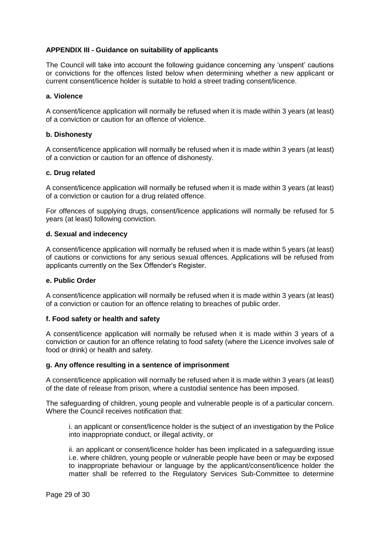# <span id="page-28-0"></span>**APPENDIX III - Guidance on suitability of applicants**

The Council will take into account the following guidance concerning any 'unspent' cautions or convictions for the offences listed below when determining whether a new applicant or current consent/licence holder is suitable to hold a street trading consent/licence.

## **a. Violence**

A consent/licence application will normally be refused when it is made within 3 years (at least) of a conviction or caution for an offence of violence.

## **b. Dishonesty**

A consent/licence application will normally be refused when it is made within 3 years (at least) of a conviction or caution for an offence of dishonesty.

## **c. Drug related**

A consent/licence application will normally be refused when it is made within 3 years (at least) of a conviction or caution for a drug related offence.

For offences of supplying drugs, consent/licence applications will normally be refused for 5 years (at least) following conviction.

## **d. Sexual and indecency**

A consent/licence application will normally be refused when it is made within 5 years (at least) of cautions or convictions for any serious sexual offences. Applications will be refused from applicants currently on the Sex Offender's Register.

#### **e. Public Order**

A consent/licence application will normally be refused when it is made within 3 years (at least) of a conviction or caution for an offence relating to breaches of public order.

# **f. Food safety or health and safety**

A consent/licence application will normally be refused when it is made within 3 years of a conviction or caution for an offence relating to food safety (where the Licence involves sale of food or drink) or health and safety.

#### **g. Any offence resulting in a sentence of imprisonment**

A consent/licence application will normally be refused when it is made within 3 years (at least) of the date of release from prison, where a custodial sentence has been imposed.

The safeguarding of children, young people and vulnerable people is of a particular concern. Where the Council receives notification that:

i. an applicant or consent/licence holder is the subject of an investigation by the Police into inappropriate conduct, or illegal activity, or

ii. an applicant or consent/licence holder has been implicated in a safeguarding issue i.e. where children, young people or vulnerable people have been or may be exposed to inappropriate behaviour or language by the applicant/consent/licence holder the matter shall be referred to the Regulatory Services Sub-Committee to determine